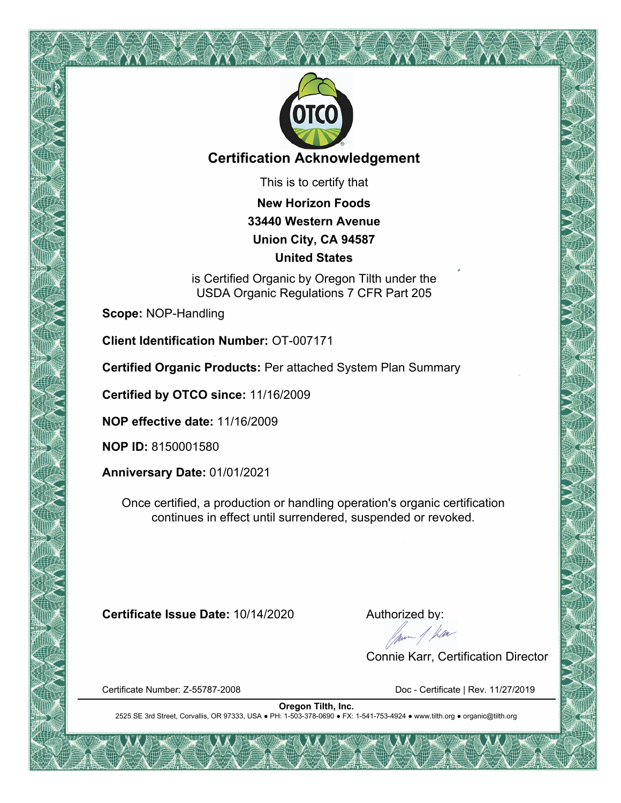

## **Certification Acknowledgement**

This is to certify that

**New Horizon Foods 33440 Western Avenue Union City, CA 94587 United States**

is Certified Organic by Oregon Tilth under the USDA Organic Regulations 7 CFR Part 205

**Scope:** NOP-Handling

**Client Identification Number:** OT-007171

**Certified Organic Products:** Per attached System Plan Summary

**Certified by OTCO since:** 11/16/2009

**NOP effective date:** 11/16/2009

**NOP ID:** 8150001580

**Anniversary Date:** 01/01/2021

Once certified, a production or handling operation's organic certification continues in effect until surrendered, suspended or revoked.

**Certificate Issue Date:** 10/14/2020 **Authorized by:**<br>Authorized by:<br>Alternative degrees the set of the set of the set of the set of the set of the set of the set of the set of the set of the set of the set of the set of t

Connie Karr, Certification Director

Certificate Number: Z-55787-2008 Doc - Certificate | Rev. 11/27/2019

**Oregon Tilth, Inc.** 2525 SE 3rd Street, Corvallis, OR 97333, USA ● PH: 1-503-378-0690 ● FX: 1-541-753-4924 ● www.tilth.org ● organic@tilth.org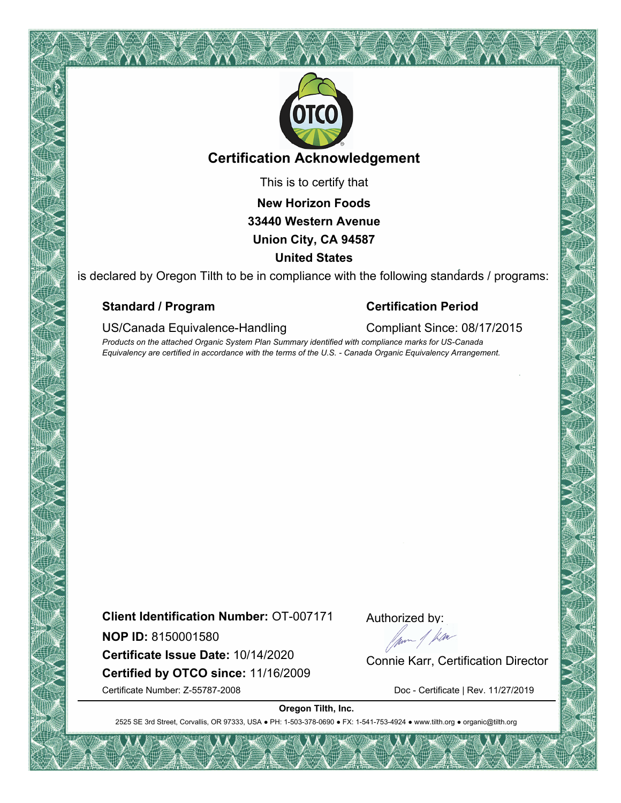

## **Certification Acknowledgement**

This is to certify that

**New Horizon Foods**

# **33440 Western Avenue**

### **Union City, CA 94587**

#### **United States**

is declared by Oregon Tilth to be in compliance with the following standards / programs:

### **Standard / Program Certification Period**

US/Canada Equivalence-Handling Compliant Since: 08/17/2015

*Products on the attached Organic System Plan Summary identified with compliance marks for US-Canada Equivalency are certified in accordance with the terms of the U.S. - Canada Organic Equivalency Arrangement.*

**Client Identification Number:** OT-007171

**NOP ID:** 8150001580

**Certified by OTCO since:** 11/16/2009 **NOP ID:** 8150001580<br>**Certificate Issue Date:** 10/14/2020 **Connie Karr, Certification Director** 

Certificate Number: Z-55787-2008 Doc - Certificate | Rev. 11/27/2019

Authorized by:

**Oregon Tilth, Inc.**

2525 SE 3rd Street, Corvallis, OR 97333, USA ● PH: 1-503-378-0690 ● FX: 1-541-753-4924 ● www.tilth.org ● organic@tilth.org